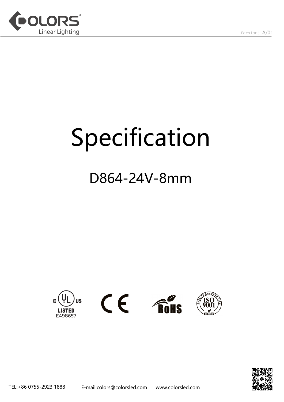

# Specification

# D864-24V-8mm



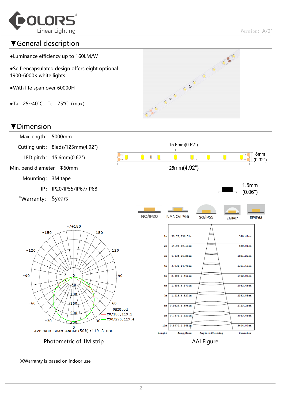

#### ▼General description

- ●Luminance efficiency up to 160LM/W
- ●Self-encapsulated design offers eight optional 1900-6000K white lights
- ●With life span over 60000H
- $\bullet$ Ta: -25~40°C; Tc: 75°C (max)

#### ▼Dimension





※Warranty is based on indoor use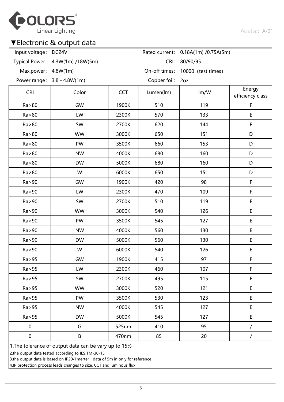

#### ▼Electronic & output data

| Input voltage: DC24V                                  |                                  |            |                  | Rated current: 0.18A(1m) /0.75A(5m) |                            |  |  |  |
|-------------------------------------------------------|----------------------------------|------------|------------------|-------------------------------------|----------------------------|--|--|--|
|                                                       | Typical Power: 4.3W(1m) /18W(5m) |            | CRI:             | 80/90/95                            |                            |  |  |  |
| Max.power: 4.8W(1m)                                   |                                  |            |                  | On-off times: 10000 (test times)    |                            |  |  |  |
|                                                       | Power range: $3.8 \sim 4.8W(1m)$ |            | Copper foil: 2oz |                                     |                            |  |  |  |
| <b>CRI</b>                                            | Color                            | <b>CCT</b> | Lumen(lm)        | Im/W                                | Energy<br>efficiency class |  |  |  |
| Ra > 80                                               | GW                               | 1900K      | 510              | 119                                 | $\mathsf F$                |  |  |  |
| Ra > 80                                               | LW                               | 2300K      | 570              | 133                                 | $\mathsf E$                |  |  |  |
| Ra > 80                                               | SW                               | 2700K      | 620              | 144                                 | E                          |  |  |  |
| Ra > 80                                               | <b>WW</b>                        | 3000K      | 650              | 151                                 | D                          |  |  |  |
| Ra > 80                                               | PW                               | 3500K      | 660              | 153                                 | D                          |  |  |  |
| Ra > 80                                               | <b>NW</b>                        | 4000K      | 680              | 160                                 | D                          |  |  |  |
| Ra > 80                                               | <b>DW</b>                        | 5000K      | 680              | 160                                 | D                          |  |  |  |
| Ra > 80                                               | W                                | 6000K      | 650              | 151                                 | D                          |  |  |  |
| Ra > 90                                               | GW                               | 1900K      | 420              | 98                                  | F                          |  |  |  |
| Ra>90                                                 | LW                               | 2300K      | 470              | 109                                 | F                          |  |  |  |
| Ra > 90                                               | SW                               | 2700K      | 510              | 119                                 | $\mathsf F$                |  |  |  |
| Ra > 90                                               | <b>WW</b>                        | 3000K      | 540              | 126                                 | $\mathsf E$                |  |  |  |
| Ra>90                                                 | PW                               | 3500K      | 545              | 127                                 | $\sf E$                    |  |  |  |
| Ra>90                                                 | <b>NW</b>                        | 4000K      | 560              | 130                                 | E                          |  |  |  |
| Ra > 90                                               | <b>DW</b>                        | 5000K      | 560              | 130                                 | $\sf E$                    |  |  |  |
| Ra>90                                                 | W                                | 6000K      | 540              | 126                                 | $\mathsf E$                |  |  |  |
| Ra > 95                                               | GW                               | 1900K      | 415              | 97                                  | F                          |  |  |  |
| Ra > 95                                               | LW                               | 2300K      | 460              | 107                                 | F                          |  |  |  |
| Ra > 95                                               | SW                               | 2700K      | 495              | 115                                 | F                          |  |  |  |
| Ra > 95                                               | <b>WW</b>                        | 3000K      | 520              | 121                                 | E                          |  |  |  |
| Ra>95                                                 | PW                               | 3500K      | 530              | 123                                 | $\sf E$                    |  |  |  |
| Ra>95                                                 | <b>NW</b>                        | 4000K      | 545              | 127                                 | E                          |  |  |  |
| Ra > 95                                               | <b>DW</b>                        | 5000K      | 545              | 127                                 | $\sf E$                    |  |  |  |
| $\pmb{0}$                                             | G                                | 525nm      | 410              | 95                                  |                            |  |  |  |
| $\pmb{0}$                                             | B                                | 470nm      | 85               | 20                                  | $\overline{\phantom{a}}$   |  |  |  |
| 1. The tolerance of output data can be vary up to 15% |                                  |            |                  |                                     |                            |  |  |  |

2.the output data tested according to IES TM-30-15

3.the output data is based on IP20/1merter, data of 5m in only for reference

4.IP protection process leads changes to size, CCT and luminous flux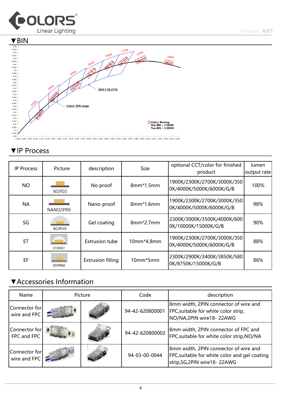



### ▼IP Process

| <b>IP Process</b> | Picture        | description              | <b>Size</b> | optional CCT/color for finished<br>product              | lumen<br>output rate |
|-------------------|----------------|--------------------------|-------------|---------------------------------------------------------|----------------------|
| <b>NO</b>         | <b>NO/IP20</b> | No proof                 | $8mm*1.5mm$ | 1900K/2300K/2700K/3000K/350<br>0K/4000K/5000K/6000K/G/B | 100%                 |
| <b>NA</b>         | NANO/IP65      | Nano-proof               | $8mm*1.6mm$ | 1900K/2300K/2700K/3000K/350<br>0K/4000K/5000K/6000K/G/B | 98%                  |
| SG                | <b>SG/IP55</b> | Gel coating              | $8mm*2.7mm$ | 2300K/3000K/3500K/4000K/600<br>0K/10000K/15000K/G/B     | 90%                  |
| ET                | <b>ET/IP67</b> | <b>Extrusion tube</b>    | 10mm*4.8mm  | 1900K/2300K/2700K/3000K/350<br>0K/4000K/5000K/6000K/G/B | 88%                  |
| EF                | <b>EF/IP68</b> | <b>Extrusion filling</b> | 10mm*5mm    | 2300K/2900K/3400K/3850K/580<br>0K/8750K/15000K/G/B      | 86%                  |

## ▼Accessories Information

| Name                          | Picture |  | Code            | description                                                                                                             |  |  |
|-------------------------------|---------|--|-----------------|-------------------------------------------------------------------------------------------------------------------------|--|--|
| Connector for<br>wire and FPC |         |  | 94-42-620800001 | 8mm width, 2PIN connector of wire and<br>FPC, suitable for white color strip,<br>NO/NA, 2PIN wire 18-22AWG              |  |  |
| Connector for<br>FPC and FPC  |         |  | 94-42-620800002 | 8mm width, 2PIN connector of FPC and<br>FPC, suitable for white color strip, NO/NA                                      |  |  |
| Connector for<br>wire and FPC |         |  | 94-03-00-0044   | 8mm width, 2PIN connector of wire and<br>FPC, suitable for white color and gel coating<br>strip, SG, 2PIN wire 18-22AWG |  |  |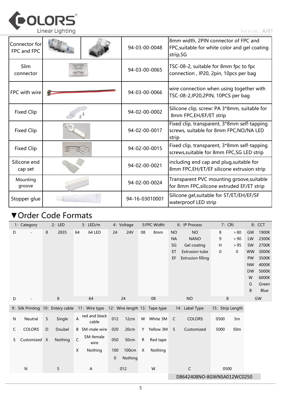

| Connector for<br>FPC and FPC |  |  | 94-03-00-0048  | 8mm width, 2PIN connector of FPC and<br>FPC, suitable for white color and gel coating<br>strip, SG |  |  |
|------------------------------|--|--|----------------|----------------------------------------------------------------------------------------------------|--|--|
| <b>Slim</b><br>connector     |  |  | 94-03-00-0065  | TSC-08-2, suitable for 8mm fpc to fpc<br>connection, IP20, 2pin, 10pcs per bag                     |  |  |
| FPC with wire                |  |  | 94-03-00-0066  | wire connection when using together with<br>TSC-08-2, IP20, 2PIN, 10PCS per bag                    |  |  |
| <b>Fixed Clip</b>            |  |  | 94-02-00-0002  | Silicone clip, screw: PA 3*8mm, suitable for<br>8mm FPC, EH/EF/ET strip                            |  |  |
| <b>Fixed Clip</b>            |  |  | 94-02-00-0017  | Fixed clip, transparent, 3*8mm self-tapping<br>screws, suitable for 8mm FPC, NO/NA LED<br>strip    |  |  |
| <b>Fixed Clip</b>            |  |  | 94-02-00-0015  | Fixed clip, transparent, 3*8mm self-tapping<br>screws, suitable for 8mm FPC, SG LED strip          |  |  |
| Silicone end<br>cap set      |  |  | 94-02-00-0021  | including end cap and plug, suitable for<br>8mm FPC,EH/ET/EF silicone extrusion strip              |  |  |
| Mounting<br>groove           |  |  | 94-02-00-0024  | Transparent PVC mounting groove, suitable<br>for 8mm FPC, silicone extruded EF/ET strip            |  |  |
| Stopper glue                 |  |  | 94-16-03010001 | Silicone gel, suitable for ST/ET/EH/EF/SF<br>waterproof LED strip                                  |  |  |

# ▼Order Code Formats

|   | 1: Category                       |   | 2: LED  |                         | 3: LED/m               |     | 4: Voltage                 |    | 5:FPC Width                   |              | 6: IP Process            | 7: CRI           |             |           | 8: CCT        |
|---|-----------------------------------|---|---------|-------------------------|------------------------|-----|----------------------------|----|-------------------------------|--------------|--------------------------|------------------|-------------|-----------|---------------|
| D |                                   | 8 | 2835    | 64                      | 64 LED                 | 24  | <b>24V</b>                 | 08 | 8 <sub>mm</sub>               | <b>NO</b>    | <b>NO</b>                | 8                | > 80        | GW        | 1900K         |
|   |                                   |   |         |                         |                        |     |                            |    |                               | <b>NA</b>    | <b>NANO</b>              | 9                | > 90        | LW        | 2300K         |
|   |                                   |   |         |                         |                        |     |                            |    |                               | SG           | Gel coating              | Н                | > 95        | <b>SW</b> | 2700K         |
|   |                                   |   |         |                         |                        |     |                            |    |                               | ET           | <b>Extrusion tube</b>    | 0                | $\mathbf 0$ | <b>WW</b> | 3000K         |
|   |                                   |   |         |                         |                        |     |                            |    |                               | EF           | <b>Extrusion filling</b> |                  |             | PW        | 3500K         |
|   |                                   |   |         |                         |                        |     |                            |    |                               |              |                          |                  |             | <b>NW</b> | 4000K         |
|   |                                   |   |         |                         |                        |     |                            |    |                               |              |                          |                  |             | <b>DW</b> | 5000K         |
|   |                                   |   |         |                         |                        |     |                            |    |                               |              |                          |                  |             | W         | 6000K         |
|   |                                   |   |         |                         |                        |     |                            |    |                               |              |                          |                  |             | G<br>B    | Green<br>Blue |
|   |                                   |   |         |                         |                        |     |                            |    |                               |              |                          |                  |             |           |               |
| D |                                   |   | 8       |                         | 64                     |     | 24                         |    | 08                            |              | <b>NO</b>                | 8                |             |           | GW            |
|   | 9: Silk Printing 10: Entery cable |   |         |                         | 11: Wire type          |     |                            |    | 12: Wire length 13: Tape type |              | 14: Label Type           | 15: Strip Length |             |           |               |
| N | Neutral                           | S | Single  | $\overline{\mathsf{A}}$ | red and black<br>cable | 012 | 12cm                       | W  | White 3M                      | $\mathsf{C}$ | <b>COLORS</b>            | 0500             | 5m          |           |               |
| C | <b>COLORS</b>                     | D | Doubel  |                         | <b>B</b> SM-male wire  | 020 | 20cm                       |    | Y Yellow 3M                   | S            | Customized               | 5000             | 50m         |           |               |
| S | Customized X                      |   | Nothing | $\mathsf C$             | SM-female<br>wire      | 050 | 50cm                       | R  | Red tape                      |              |                          |                  |             |           |               |
|   |                                   |   |         | X                       | Nothing                | 100 | 100cm                      | X  | Nothing                       |              |                          |                  |             |           |               |
|   |                                   |   |         |                         |                        | 0   | Nothing                    |    |                               |              |                          |                  |             |           |               |
|   | N                                 |   | S       |                         | A                      |     | 012                        |    | W                             |              | C                        | 0500             |             |           |               |
|   |                                   |   |         |                         |                        |     | D8642408NO-8GWNSA012WC0250 |    |                               |              |                          |                  |             |           |               |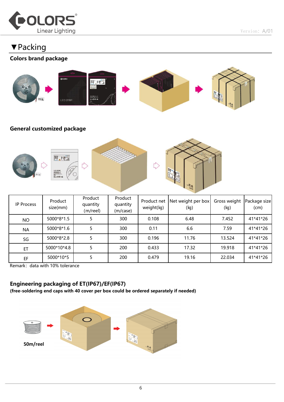

Version: A/01

# ▼Packing

#### Colors brand package



#### General customized package



| IP Process | Product<br>size(mm) | Product<br>quantity<br>(m/reel) | Product<br>quantity<br>(m/case) | Product net<br>weight(kg) | Net weight per box<br>(kg) | Gross weight<br>(kg) | Package size<br>(cm) |
|------------|---------------------|---------------------------------|---------------------------------|---------------------------|----------------------------|----------------------|----------------------|
| <b>NO</b>  | 5000*8*1.5          |                                 | 300                             | 0.108                     | 6.48                       | 7.452                | 41*41*26             |
| <b>NA</b>  | 5000*8*1.6          |                                 | 300                             | 0.11                      | 6.6                        | 7.59                 | 41*41*26             |
| SG         | 5000*8*2.8          |                                 | 300                             | 0.196                     | 11.76                      | 13.524               | 41*41*26             |
| ET         | 5000*10*4.8         |                                 | 200                             | 0.433                     | 17.32                      | 19.918               | 41*41*26             |
| EF         | 5000*10*5           |                                 | 200                             | 0.479                     | 19.16                      | 22.034               | 41*41*26             |

Remark: data with 10% tolerance

#### Engineering packaging of ET(IP67)/EF(IP67)

(free-soldering end caps with 40 cover per box could be ordered separately if needed)